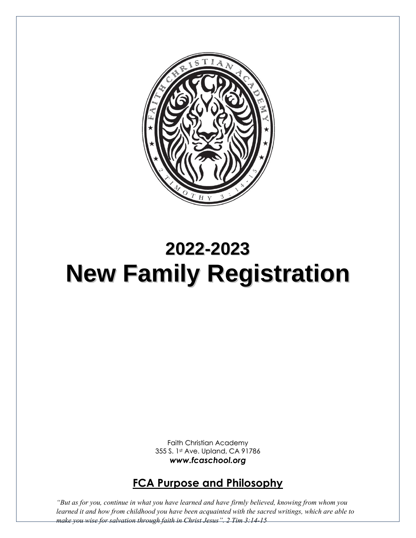

# **2022-2023 New Family Registration**

Faith Christian Academy 355 S. 1st Ave. Upland, CA 91786 *www.fcaschool.org*

# **FCA Purpose and Philosophy**

*"But as for you, continue in what you have learned and have firmly believed, knowing from whom you learned it and how from childhood you have been acquainted with the sacred writings, which are able to make you wise for salvation through faith in Christ Jesus". 2 Tim 3:14-15*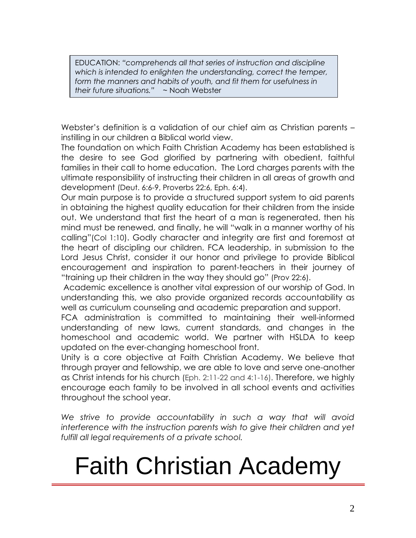EDUCATION: *"comprehends all that series of instruction and discipline which is intended to enlighten the understanding, correct the temper, form the manners and habits of youth, and fit them for usefulness in their future situations."* ~ Noah Webster

Webster's definition is a validation of our chief aim as Christian parents – instilling in our children a Biblical world view.

The foundation on which Faith Christian Academy has been established is the desire to see God glorified by partnering with obedient, faithful families in their call to home education. The Lord charges parents with the ultimate responsibility of instructing their children in all areas of growth and development (Deut. 6:6-9, Proverbs 22:6, Eph. 6:4).

Our main purpose is to provide a structured support system to aid parents in obtaining the highest quality education for their children from the inside out. We understand that first the heart of a man is regenerated, then his mind must be renewed, and finally, he will "walk in a manner worthy of his calling"(Col 1:10). Godly character and integrity are first and foremost at the heart of discipling our children. FCA leadership, in submission to the Lord Jesus Christ, consider it our honor and privilege to provide Biblical encouragement and inspiration to parent-teachers in their journey of "training up their children in the way they should go" (Prov 22:6).

Academic excellence is another vital expression of our worship of God. In understanding this, we also provide organized records accountability as well as curriculum counseling and academic preparation and support.

FCA administration is committed to maintaining their well-informed understanding of new laws, current standards, and changes in the homeschool and academic world. We partner with HSLDA to keep updated on the ever-changing homeschool front.

Unity is a core objective at Faith Christian Academy. We believe that through prayer and fellowship, we are able to love and serve one-another as Christ intends for his church (Eph. 2:11-22 and 4:1-16). Therefore, we highly encourage each family to be involved in all school events and activities throughout the school year.

We strive to provide accountability in such a way that will avoid *interference with the instruction parents wish to give their children and yet fulfill all legal requirements of a private school.* 

# Faith Christian Academy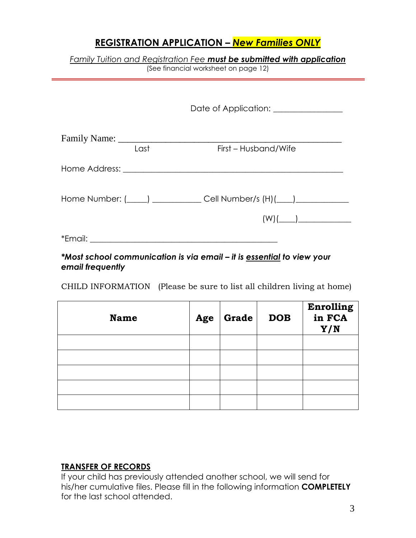# **REGISTRATION APPLICATION –** *New Families ONLY*

| Family Tuition and Registration Fee <b>must be submitted with application</b> |  |  |  |
|-------------------------------------------------------------------------------|--|--|--|
| (See financial worksheet on page 12)                                          |  |  |  |

|      | Date of Application: _______________                                        |  |
|------|-----------------------------------------------------------------------------|--|
| Last | First – Husband/Wife                                                        |  |
|      |                                                                             |  |
|      | Home Number: (_____) _______________ Cell Number/s (H)(____) ______________ |  |
|      |                                                                             |  |

#### *\*Most school communication is via email – it is essential to view your email frequently*

CHILD INFORMATION (Please be sure to list all children living at home)

| <b>Name</b> | Age | $\vert$ Grade $\vert$ | <b>DOB</b> | Enrolling<br>in FCA<br>Y/N |
|-------------|-----|-----------------------|------------|----------------------------|
|             |     |                       |            |                            |
|             |     |                       |            |                            |
|             |     |                       |            |                            |
|             |     |                       |            |                            |
|             |     |                       |            |                            |

#### **TRANSFER OF RECORDS**

If your child has previously attended another school, we will send for his/her cumulative files. Please fill in the following information **COMPLETELY** for the last school attended.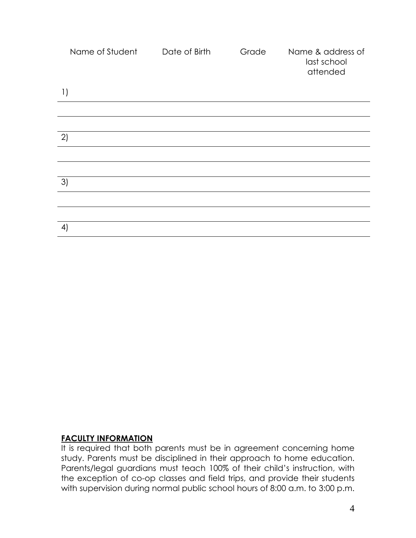| Name of Student  | Date of Birth | Grade | Name & address of<br>last school<br>attended |
|------------------|---------------|-------|----------------------------------------------|
| $\left  \right $ |               |       |                                              |
|                  |               |       |                                              |
|                  |               |       |                                              |
| 2)               |               |       |                                              |
|                  |               |       |                                              |
|                  |               |       |                                              |
| 3)               |               |       |                                              |
|                  |               |       |                                              |
|                  |               |       |                                              |
| 4)               |               |       |                                              |

#### **FACULTY INFORMATION**

It is required that both parents must be in agreement concerning home study. Parents must be disciplined in their approach to home education. Parents/legal guardians must teach 100% of their child's instruction, with the exception of co-op classes and field trips, and provide their students with supervision during normal public school hours of 8:00 a.m. to 3:00 p.m.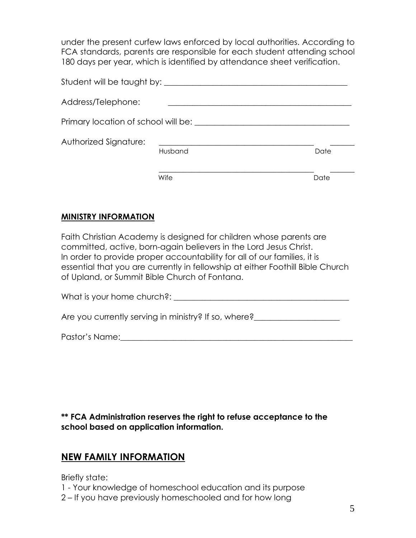under the present curfew laws enforced by local authorities. According to FCA standards, parents are responsible for each student attending school 180 days per year, which is identified by attendance sheet verification.

| Student will be taught by:          |         |      |
|-------------------------------------|---------|------|
| Address/Telephone:                  |         |      |
| Primary location of school will be: |         |      |
| Authorized Signature:               | Husband | Date |
|                                     | Wife    | Date |

#### **MINISTRY INFORMATION**

Faith Christian Academy is designed for children whose parents are committed, active, born-again believers in the Lord Jesus Christ. In order to provide proper accountability for all of our families, it is essential that you are currently in fellowship at either Foothill Bible Church of Upland, or Summit Bible Church of Fontana.

What is your home church?:  $\blacksquare$ 

Are you currently serving in ministry? If so, where?<br>

Pastor's Name:\_\_\_\_\_\_\_\_\_\_\_\_\_\_\_\_\_\_\_\_\_\_\_\_\_\_\_\_\_\_\_\_\_\_\_\_\_\_\_\_\_\_\_\_\_\_\_\_\_\_\_\_\_\_\_\_\_

**\*\* FCA Administration reserves the right to refuse acceptance to the school based on application information.**

### **NEW FAMILY INFORMATION**

Briefly state:

1 - Your knowledge of homeschool education and its purpose

2 – If you have previously homeschooled and for how long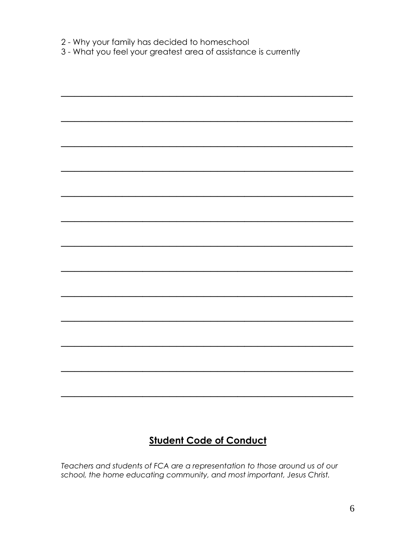2 - Why your family has decided to homeschool

3 - What you feel your greatest area of assistance is currently

# **Student Code of Conduct**

Teachers and students of FCA are a representation to those around us of our school, the home educating community, and most important, Jesus Christ.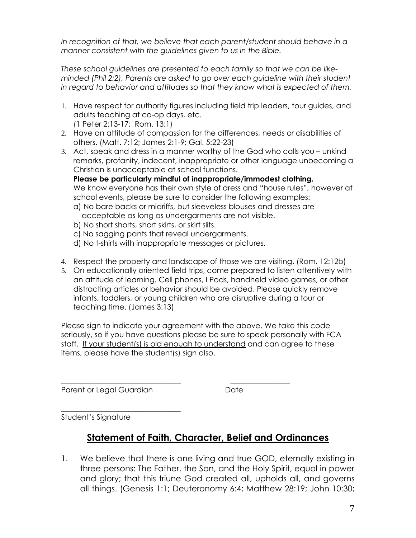*In recognition of that, we believe that each parent/student should behave in a manner consistent with the guidelines given to us in the Bible.*

*These school guidelines are presented to each family so that we can be likeminded (Phil 2:2). Parents are asked to go over each guideline with their student in regard to behavior and attitudes so that they know what is expected of them.*

- 1. Have respect for authority figures including field trip leaders, tour guides, and adults teaching at co-op days, etc. (1 Peter 2:13-17; Rom. 13:1)
- 2. Have an attitude of compassion for the differences, needs or disabilities of others. (Matt. 7:12; James 2:1-9; Gal. 5:22-23)
- 3. Act, speak and dress in a manner worthy of the God who calls you unkind remarks, profanity, indecent, inappropriate or other language unbecoming a Christian is unacceptable at school functions.

**Please be particularly mindful of inappropriate/immodest clothing.** We know everyone has their own style of dress and "house rules", however at school events, please be sure to consider the following examples:

- a) No bare backs or midriffs, but sleeveless blouses and dresses are acceptable as long as undergarments are not visible.
- b) No short shorts, short skirts, or skirt slits.
- c) No sagging pants that reveal undergarments.
- d) No t-shirts with inappropriate messages or pictures.
- 4. Respect the property and landscape of those we are visiting. (Rom. 12:12b)
- 5. On educationally oriented field trips, come prepared to listen attentively with an attitude of learning. Cell phones, I Pods, handheld video games, or other distracting articles or behavior should be avoided. Please quickly remove infants, toddlers, or young children who are disruptive during a tour or teaching time. (James 3:13)

Please sign to indicate your agreement with the above. We take this code seriously, so if you have questions please be sure to speak personally with FCA staff. If your student(s) is old enough to understand and can agree to these items, please have the student(s) sign also.

Parent or Legal Guardian **Date** Date

\_\_\_\_\_\_\_\_\_\_\_\_\_\_\_\_\_\_\_\_\_\_\_\_\_\_\_\_\_\_\_\_ \_\_\_\_\_\_\_\_\_\_\_\_\_\_\_\_

\_\_\_\_\_\_\_\_\_\_\_\_\_\_\_\_\_\_\_\_\_\_\_\_\_\_\_\_\_\_\_\_ Student's Signature

# **Statement of Faith, Character, Belief and Ordinances**

1. We believe that there is one living and true GOD, eternally existing in three persons: The Father, the Son, and the Holy Spirit, equal in power and glory; that this triune God created all, upholds all, and governs all things. (Genesis 1:1; Deuteronomy 6:4; Matthew 28:19; John 10:30;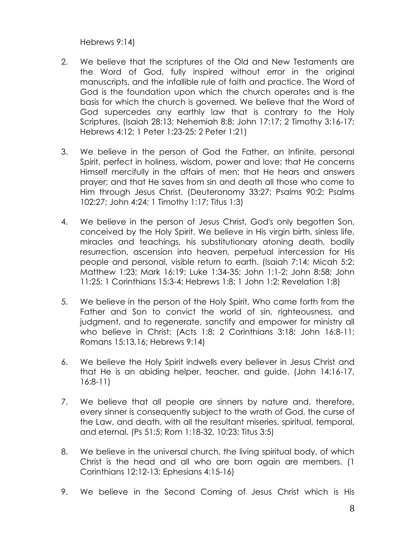Hebrews 9:14)

- 2. We believe that the scriptures of the Old and New Testaments are the Word of God, fully inspired without error in the original manuscripts, and the infallible rule of faith and practice. The Word of God is the foundation upon which the church operates and is the basis for which the church is governed. We believe that the Word of God supercedes any earthly law that is contrary to the Holy Scriptures. (Isaiah 28:13; Nehemiah 8:8; John 17:17; 2 Timothy 3:16-17; Hebrews 4:12; 1 Peter 1:23-25; 2 Peter 1:21)
- 3. We believe in the person of God the Father, an Infinite, personal Spirit, perfect in holiness, wisdom, power and love; that He concerns Himself mercifully in the affairs of men; that He hears and answers prayer; and that He saves from sin and death all those who come to Him through Jesus Christ. (Deuteronomy 33:27; Psalms 90:2; Psalms 102:27; John 4:24; 1 Timothy 1:17; Titus 1:3)
- 4. We believe in the person of Jesus Christ, God's only begotten Son, conceived by the Holy Spirit. We believe in His virgin birth, sinless life, miracles and teachings, his substitutionary atoning death, bodily resurrection, ascension into heaven, perpetual intercession for His people and personal, visible return to earth. (Isaiah 7:14; Micah 5:2; Matthew 1:23; Mark 16:19; Luke 1:34-35; John 1:1-2; John 8:58; John 11:25; 1 Corinthians 15:3-4; Hebrews 1:8; 1 John 1:2; Revelation 1:8)
- 5. We believe in the person of the Holy Spirit, Who came forth from the Father and Son to convict the world of sin, righteousness, and judgment, and to regenerate, sanctify and empower for ministry all who believe in Christ; (Acts 1:8; 2 Corinthians 3:18; John 16:8-11; Romans 15:13,16; Hebrews 9:14)
- 6. We believe the Holy Spirit indwells every believer in Jesus Christ and that He is an abiding helper, teacher, and guide. (John 14:16-17, 16:8-11)
- 7. We believe that all people are sinners by nature and, therefore, every sinner is consequently subject to the wrath of God, the curse of the Law, and death, with all the resultant miseries, spiritual, temporal, and eternal. (Ps 51:5; Rom 1:18-32, 10:23; Titus 3:5)
- 8. We believe in the universal church, the living spiritual body, of which Christ is the head and all who are born again are members. (1 Corinthians 12:12-13; Ephesians 4:15-16)
- 9. We believe in the Second Coming of Jesus Christ which is His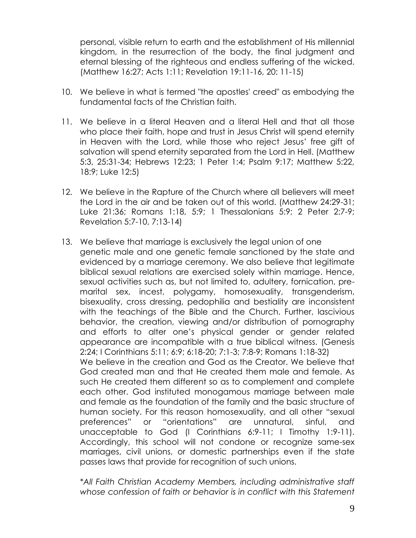personal, visible return to earth and the establishment of His millennial kingdom, in the resurrection of the body, the final judgment and eternal blessing of the righteous and endless suffering of the wicked. (Matthew 16:27; Acts 1:11; Revelation 19:11-16, 20: 11-15)

- 10. We believe in what is termed "the apostles' creed" as embodying the fundamental facts of the Christian faith.
- 11. We believe in a literal Heaven and a literal Hell and that all those who place their faith, hope and trust in Jesus Christ will spend eternity in Heaven with the Lord, while those who reject Jesus' free gift of salvation will spend eternity separated from the Lord in Hell. (Matthew 5:3, 25:31-34; Hebrews 12:23; 1 Peter 1:4; Psalm 9:17; Matthew 5:22, 18:9; Luke 12:5)
- 12. We believe in the Rapture of the Church where all believers will meet the Lord in the air and be taken out of this world. (Matthew 24:29-31; Luke 21:36; Romans 1:18, 5:9; 1 Thessalonians 5:9; 2 Peter 2:7-9; Revelation 5:7-10, 7:13-14)
- 13. We believe that marriage is exclusively the legal union of one genetic male and one genetic female sanctioned by the state and evidenced by a marriage ceremony. We also believe that legitimate biblical sexual relations are exercised solely within marriage. Hence, sexual activities such as, but not limited to, adultery, fornication, premarital sex, incest, polygamy, homosexuality, transgenderism, bisexuality, cross dressing, pedophilia and bestiality are inconsistent with the teachings of the Bible and the Church. Further, lascivious behavior, the creation, viewing and/or distribution of pornography and efforts to alter one's physical gender or gender related appearance are incompatible with a true biblical witness. (Genesis 2:24; I Corinthians 5:11; 6:9; 6:18-20; 7:1-3; 7:8-9; Romans 1:18-32) We believe in the creation and God as the Creator. We believe that God created man and that He created them male and female. As such He created them different so as to complement and complete each other. God instituted monogamous marriage between male and female as the foundation of the family and the basic structure of human society. For this reason homosexuality, and all other "sexual preferences" or "orientations" are unnatural, sinful, and unacceptable to God (I Corinthians 6:9-11; I Timothy 1:9-11). Accordingly, this school will not condone or recognize same-sex marriages, civil unions, or domestic partnerships even if the state passes laws that provide for recognition of such unions.

*\*All Faith Christian Academy Members, including administrative staff whose confession of faith or behavior is in conflict with this Statement*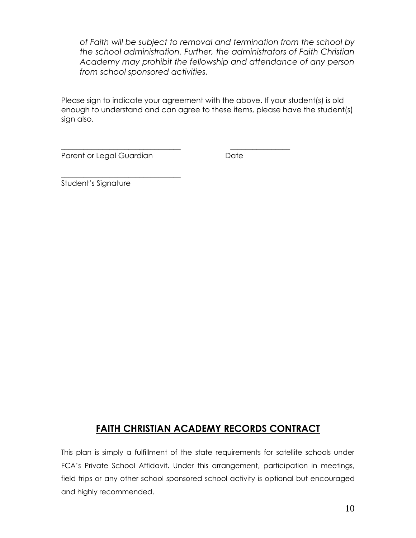*of Faith will be subject to removal and termination from the school by the school administration. Further, the administrators of Faith Christian Academy may prohibit the fellowship and attendance of any person from school sponsored activities.*

Please sign to indicate your agreement with the above. If your student(s) is old enough to understand and can agree to these items, please have the student(s) sign also.

\_\_\_\_\_\_\_\_\_\_\_\_\_\_\_\_\_\_\_\_\_\_\_\_\_\_\_\_\_\_\_\_ \_\_\_\_\_\_\_\_\_\_\_\_\_\_\_\_

Parent or Legal Guardian **Date** Date

\_\_\_\_\_\_\_\_\_\_\_\_\_\_\_\_\_\_\_\_\_\_\_\_\_\_\_\_\_\_\_\_

Student's Signature

# **FAITH CHRISTIAN ACADEMY RECORDS CONTRACT**

This plan is simply a fulfillment of the state requirements for satellite schools under FCA's Private School Affidavit. Under this arrangement, participation in meetings, field trips or any other school sponsored school activity is optional but encouraged and highly recommended.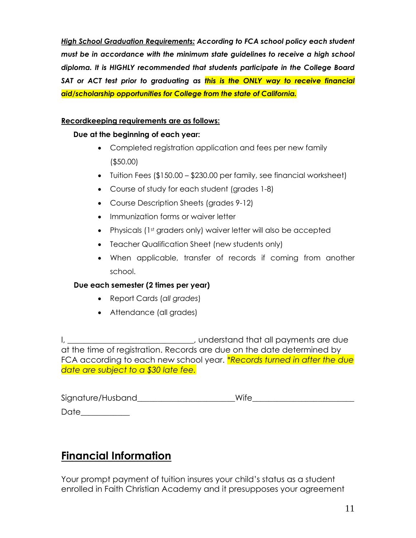*High School Graduation Requirements: According to FCA school policy each student must be in accordance with the minimum state guidelines to receive a high school diploma. It is HIGHLY recommended that students participate in the College Board SAT or ACT test prior to graduating as this is the ONLY way to receive financial aid/scholarship opportunities for College from the state of California.*

#### **Recordkeeping requirements are as follows:**

#### **Due at the beginning of each year:**

- Completed registration application and fees per new family (\$50.00)
- Tuition Fees (\$150.00 \$230.00 per family, see financial worksheet)
- Course of study for each student (grades 1-8)
- Course Description Sheets (grades 9-12)
- Immunization forms or waiver letter
- Physicals (1st graders only) waiver letter will also be accepted
- Teacher Qualification Sheet (new students only)
- When applicable, transfer of records if coming from another school.

#### **Due each semester (2 times per year)**

- Report Cards (*all grades*)
- Attendance (all grades)

I, \_\_\_\_\_\_\_\_\_\_\_\_\_\_\_\_\_\_\_\_\_\_\_\_\_\_\_\_\_, understand that all payments are due at the time of registration. Records are due on the date determined by FCA according to each new school year. *\*Records turned in after the due date are subject to a \$30 late fee.*

| Signature/Husband | Wife |
|-------------------|------|
|                   |      |

# Date\_\_\_\_\_\_\_\_\_\_\_\_

# **Financial Information**

Your prompt payment of tuition insures your child's status as a student enrolled in Faith Christian Academy and it presupposes your agreement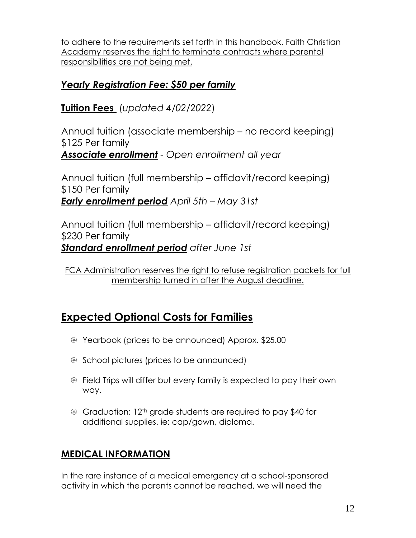to adhere to the requirements set forth in this handbook. Faith Christian Academy reserves the right to terminate contracts where parental responsibilities are not being met.

# *Yearly Registration Fee: \$50 per family*

**Tuition Fees** (*updated 4/02/2022*)

Annual tuition (associate membership – no record keeping) \$125 Per family *Associate enrollment - Open enrollment all year*

Annual tuition (full membership – affidavit/record keeping) \$150 Per family *Early enrollment period April 5th – May 31st*

Annual tuition (full membership – affidavit/record keeping) \$230 Per family *Standard enrollment period after June 1st*

# **Expected Optional Costs for Families**

- Yearbook (prices to be announced) Approx. \$25.00
- School pictures (prices to be announced)
- Field Trips will differ but every family is expected to pay their own way.
- Graduation: 12th grade students are required to pay \$40 for additional supplies. ie: cap/gown, diploma.

# **MEDICAL INFORMATION**

In the rare instance of a medical emergency at a school-sponsored activity in which the parents cannot be reached, we will need the

FCA Administration reserves the right to refuse registration packets for full membership turned in after the August deadline.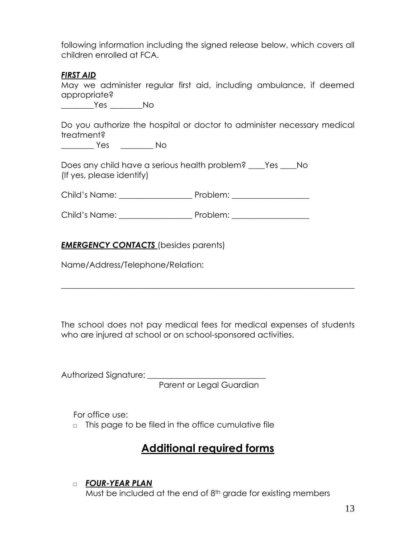following information including the signed release below, which covers all children enrolled at FCA.

#### *FIRST AID*

May we administer regular first aid, including ambulance, if deemed appropriate?

\_\_\_\_\_\_\_\_Yes \_\_\_\_\_\_\_\_No

Do you authorize the hospital or doctor to administer necessary medical treatment?

\_\_\_\_\_\_\_\_ Yes \_\_\_\_\_\_\_\_ No

Does any child have a serious health problem? \_\_\_\_Yes \_\_\_\_No (If yes, please identify)

Child's Name: \_\_\_\_\_\_\_\_\_\_\_\_\_\_\_\_\_\_ Problem: \_\_\_\_\_\_\_\_\_\_\_\_\_\_\_\_\_\_\_

Child's Name: \_\_\_\_\_\_\_\_\_\_\_\_\_\_\_\_\_\_ Problem: \_\_\_\_\_\_\_\_\_\_\_\_\_\_\_\_\_\_\_

#### *EMERGENCY CONTACTS* (besides parents)

Name/Address/Telephone/Relation:

The school does not pay medical fees for medical expenses of students who are injured at school or on school-sponsored activities.

 $\_$  , and the set of the set of the set of the set of the set of the set of the set of the set of the set of the set of the set of the set of the set of the set of the set of the set of the set of the set of the set of th

Authorized Signature: \_\_\_\_\_\_\_\_\_\_\_\_\_\_\_\_\_\_\_\_\_\_\_\_\_\_\_\_\_ Parent or Legal Guardian

For office use:

□ This page to be filed in the office cumulative file

# **Additional required forms**

#### □ *FOUR-YEAR PLAN*

Must be included at the end of 8<sup>th</sup> grade for existing members